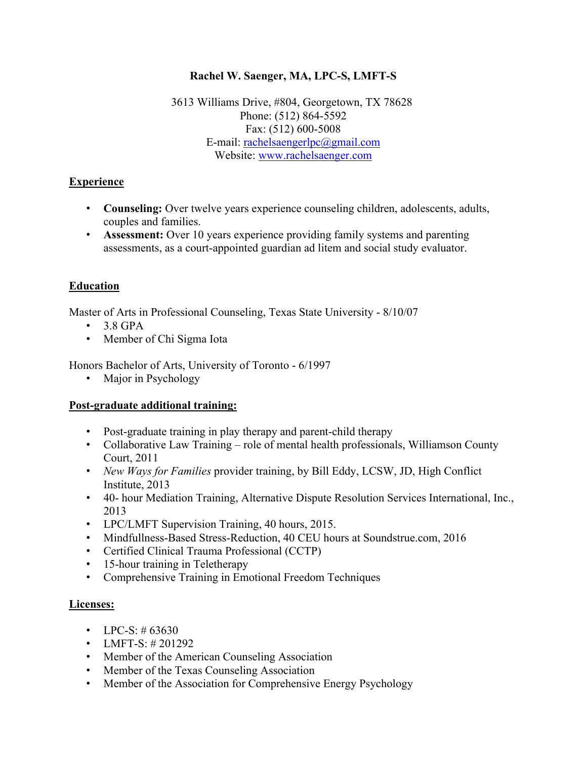### **Rachel W. Saenger, MA, LPC-S, LMFT-S**

3613 Williams Drive, #804, Georgetown, TX 78628 Phone: (512) 864-5592 Fax: (512) 600-5008 E-mail: [rachelsaengerlpc@gmail.com](mailto:rachelsaengerlpc@gmail.com) Website: [www.rachelsaenger.com](http://www.rachelsaenger.com/)

### **Experience**

- **Counseling:** Over twelve years experience counseling children, adolescents, adults, couples and families.
- **Assessment:** Over 10 years experience providing family systems and parenting assessments, as a court-appointed guardian ad litem and social study evaluator.

# **Education**

Master of Arts in Professional Counseling, Texas State University - 8/10/07

- $\cdot$  3.8 GPA
- Member of Chi Sigma Iota

Honors Bachelor of Arts, University of Toronto - 6/1997

• Major in Psychology

### **Post-graduate additional training:**

- Post-graduate training in play therapy and parent-child therapy
- Collaborative Law Training role of mental health professionals, Williamson County Court, 2011
- *New Ways for Families* provider training, by Bill Eddy, LCSW, JD, High Conflict Institute, 2013
- 40- hour Mediation Training, Alternative Dispute Resolution Services International, Inc., 2013
- LPC/LMFT Supervision Training, 40 hours, 2015.
- Mindfullness-Based Stress-Reduction, 40 CEU hours at Soundstrue.com, 2016
- Certified Clinical Trauma Professional (CCTP)
- 15-hour training in Teletherapy
- Comprehensive Training in Emotional Freedom Techniques

### **Licenses:**

- LPC-S:  $\#$  63630
- LMFT-S: #201292
- Member of the American Counseling Association
- Member of the Texas Counseling Association
- Member of the Association for Comprehensive Energy Psychology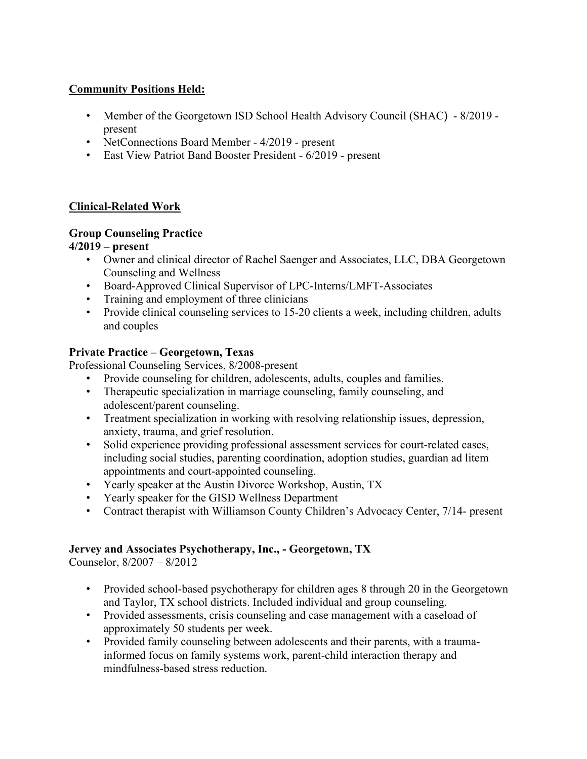### **Community Positions Held:**

- Member of the Georgetown ISD School Health Advisory Council (SHAC) 8/2019 present
- NetConnections Board Member 4/2019 present
- East View Patriot Band Booster President 6/2019 present

## **Clinical-Related Work**

# **Group Counseling Practice**

### **4/2019 – present**

- Owner and clinical director of Rachel Saenger and Associates, LLC, DBA Georgetown Counseling and Wellness
- Board-Approved Clinical Supervisor of LPC-Interns/LMFT-Associates
- Training and employment of three clinicians
- Provide clinical counseling services to 15-20 clients a week, including children, adults and couples

## **Private Practice – Georgetown, Texas**

Professional Counseling Services, 8/2008-present

- Provide counseling for children, adolescents, adults, couples and families.
- Therapeutic specialization in marriage counseling, family counseling, and adolescent/parent counseling.
- Treatment specialization in working with resolving relationship issues, depression, anxiety, trauma, and grief resolution.
- Solid experience providing professional assessment services for court-related cases, including social studies, parenting coordination, adoption studies, guardian ad litem appointments and court-appointed counseling.
- Yearly speaker at the Austin Divorce Workshop, Austin, TX
- Yearly speaker for the GISD Wellness Department
- Contract therapist with Williamson County Children's Advocacy Center, 7/14- present

# **Jervey and Associates Psychotherapy, Inc., - Georgetown, TX**

Counselor, 8/2007 – 8/2012

- Provided school-based psychotherapy for children ages 8 through 20 in the Georgetown and Taylor, TX school districts. Included individual and group counseling.
- Provided assessments, crisis counseling and case management with a caseload of approximately 50 students per week.
- Provided family counseling between adolescents and their parents, with a traumainformed focus on family systems work, parent-child interaction therapy and mindfulness-based stress reduction.